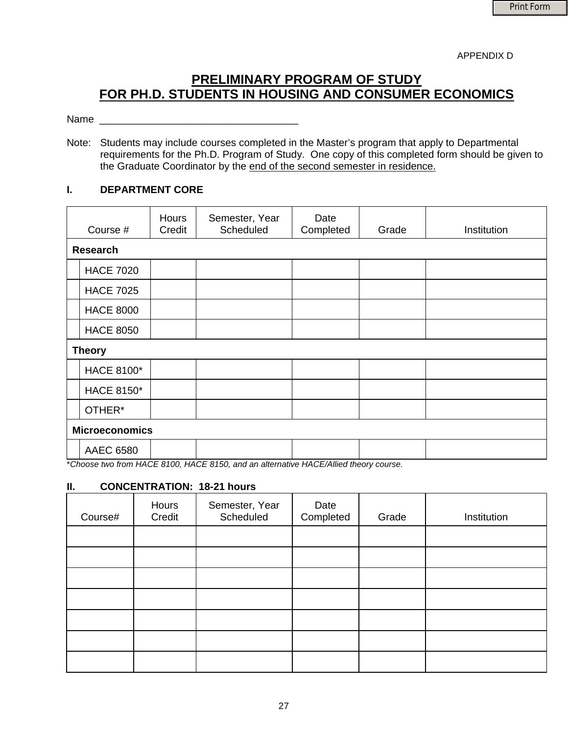APPENDIX D

# **PRELIMINARY PROGRAM OF STUDY FOR PH.D. STUDENTS IN HOUSING AND CONSUMER ECONOMICS**

## Name \_\_\_\_\_\_\_\_\_\_\_\_\_\_\_\_\_\_\_\_\_\_\_\_\_\_\_\_\_\_\_\_\_\_\_

Note: Students may include courses completed in the Master's program that apply to Departmental requirements for the Ph.D. Program of Study. One copy of this completed form should be given to the Graduate Coordinator by the end of the second semester in residence.

#### **I. DEPARTMENT CORE**

|                       | Course #          | <b>Hours</b><br>Credit | Semester, Year<br>Scheduled | Date<br>Completed | Grade | Institution |  |
|-----------------------|-------------------|------------------------|-----------------------------|-------------------|-------|-------------|--|
|                       | <b>Research</b>   |                        |                             |                   |       |             |  |
|                       | <b>HACE 7020</b>  |                        |                             |                   |       |             |  |
|                       | <b>HACE 7025</b>  |                        |                             |                   |       |             |  |
|                       | <b>HACE 8000</b>  |                        |                             |                   |       |             |  |
|                       | <b>HACE 8050</b>  |                        |                             |                   |       |             |  |
|                       | <b>Theory</b>     |                        |                             |                   |       |             |  |
|                       | <b>HACE 8100*</b> |                        |                             |                   |       |             |  |
|                       | <b>HACE 8150*</b> |                        |                             |                   |       |             |  |
|                       | OTHER*            |                        |                             |                   |       |             |  |
| <b>Microeconomics</b> |                   |                        |                             |                   |       |             |  |
|                       | <b>AAEC 6580</b>  |                        |                             |                   |       |             |  |

\**Choose two from HACE 8100, HACE 8150, and an alternative HACE/Allied theory course.* 

## **II. CONCENTRATION: 18-21 hours**

| Course# | Hours<br>Credit | Semester, Year<br>Scheduled | Date<br>Completed | Grade | Institution |
|---------|-----------------|-----------------------------|-------------------|-------|-------------|
|         |                 |                             |                   |       |             |
|         |                 |                             |                   |       |             |
|         |                 |                             |                   |       |             |
|         |                 |                             |                   |       |             |
|         |                 |                             |                   |       |             |
|         |                 |                             |                   |       |             |
|         |                 |                             |                   |       |             |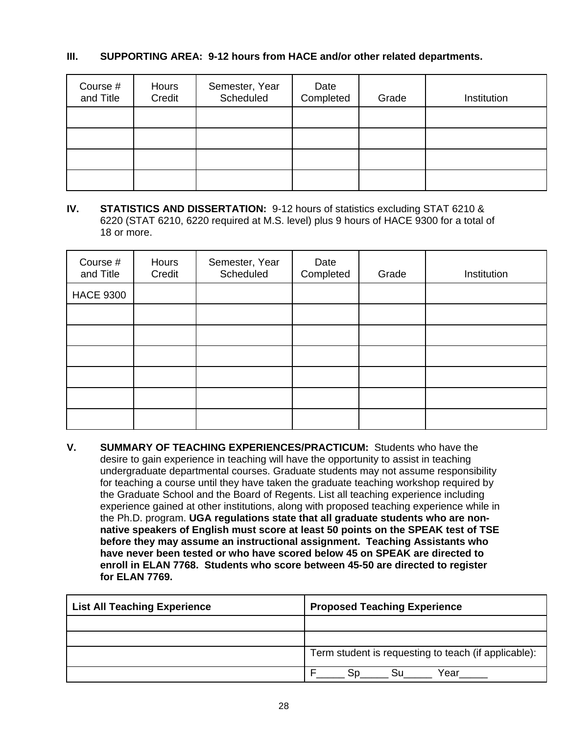# **III. SUPPORTING AREA: 9-12 hours from HACE and/or other related departments.**

| Course #<br>and Title | Hours<br>Credit | Semester, Year<br>Scheduled | Date<br>Completed | Grade | Institution |
|-----------------------|-----------------|-----------------------------|-------------------|-------|-------------|
|                       |                 |                             |                   |       |             |
|                       |                 |                             |                   |       |             |
|                       |                 |                             |                   |       |             |
|                       |                 |                             |                   |       |             |

**IV. STATISTICS AND DISSERTATION:** 9-12 hours of statistics excluding STAT 6210 & 6220 (STAT 6210, 6220 required at M.S. level) plus 9 hours of HACE 9300 for a total of 18 or more.

| Course #<br>and Title | Hours<br>Credit | Semester, Year<br>Scheduled | Date<br>Completed | Grade | Institution |
|-----------------------|-----------------|-----------------------------|-------------------|-------|-------------|
| <b>HACE 9300</b>      |                 |                             |                   |       |             |
|                       |                 |                             |                   |       |             |
|                       |                 |                             |                   |       |             |
|                       |                 |                             |                   |       |             |
|                       |                 |                             |                   |       |             |
|                       |                 |                             |                   |       |             |
|                       |                 |                             |                   |       |             |

**V. SUMMARY OF TEACHING EXPERIENCES/PRACTICUM:** Students who have the desire to gain experience in teaching will have the opportunity to assist in teaching undergraduate departmental courses. Graduate students may not assume responsibility for teaching a course until they have taken the graduate teaching workshop required by the Graduate School and the Board of Regents. List all teaching experience including experience gained at other institutions, along with proposed teaching experience while in the Ph.D. program. **UGA regulations state that all graduate students who are nonnative speakers of English must score at least 50 points on the SPEAK test of TSE before they may assume an instructional assignment. Teaching Assistants who have never been tested or who have scored below 45 on SPEAK are directed to enroll in ELAN 7768. Students who score between 45-50 are directed to register for ELAN 7769.**

| <b>List All Teaching Experience</b> | <b>Proposed Teaching Experience</b>                  |  |  |
|-------------------------------------|------------------------------------------------------|--|--|
|                                     |                                                      |  |  |
|                                     |                                                      |  |  |
|                                     | Term student is requesting to teach (if applicable): |  |  |
|                                     | Year                                                 |  |  |